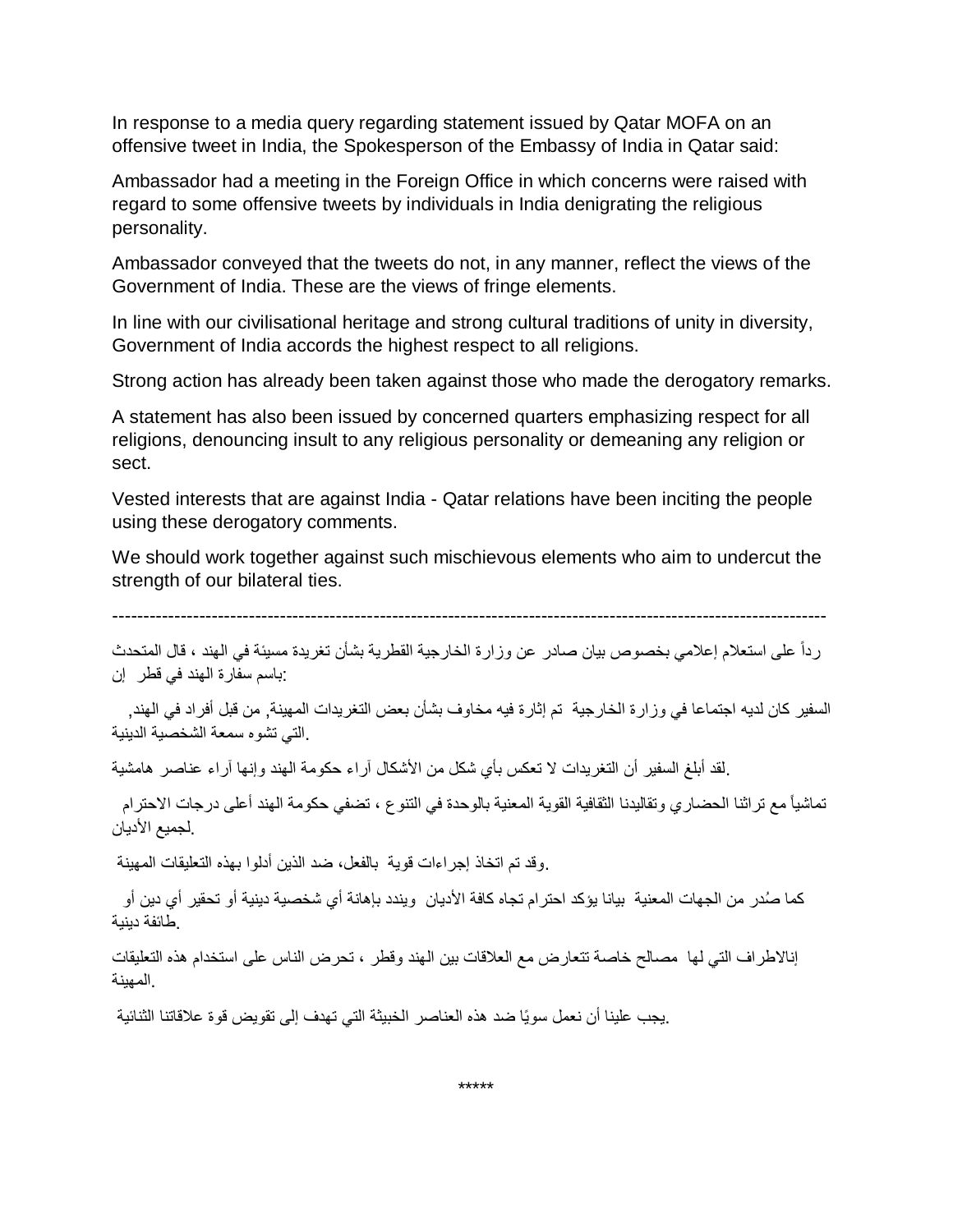In response to a media query regarding statement issued by Qatar MOFA on an offensive tweet in India, the Spokesperson of the Embassy of India in Qatar said:

Ambassador had a meeting in the Foreign Office in which concerns were raised with regard to some offensive tweets by individuals in India denigrating the religious personality.

Ambassador conveyed that the tweets do not, in any manner, reflect the views of the Government of India. These are the views of fringe elements.

In line with our civilisational heritage and strong cultural traditions of unity in diversity, Government of India accords the highest respect to all religions.

Strong action has already been taken against those who made the derogatory remarks.

A statement has also been issued by concerned quarters emphasizing respect for all religions, denouncing insult to any religious personality or demeaning any religion or sect.

Vested interests that are against India - Qatar relations have been inciting the people using these derogatory comments.

We should work together against such mischievous elements who aim to undercut the strength of our bilateral ties.

-------------------------------------------------------------------------------------------------------------------

رداً على استعالم إعالمي بخصوص بيان صادر عن وزارة الخارجية القطرية بشأن تغريدة مسيئة في الهند ، قال المتحدث :باسم سفارة الهند في قطر إن

السفير كان لديه اجتماعا في وزارة الخارجية تم إثارة فيه مخاوف بشأن بعض التغريدات المهينة, من قبل أفراد في الهند, .التي تشوه سمعة الشخصية الدينية

.لقد أبلغ السفير أن التغريدات ال تعكس بأي شكل من األشكال آراء حكومة الهند وإنها آراء عناصر هامشية

تماشياً مع تراثنا الحضاري وتقاليدنا الثقافية القوية المعنية بالوحدة في التنوع ، تضفي حكومة الهند أعلى درجات الاحترام .لجميع الأديان

.وقد تم اتخاذ إجراءات قوية بالفعل، ضد الذين أدلوا بهذه التعليقات المهينة

كما صُدر من الجهات المعنية بيانا يؤكد احترام تجاه كافة الأديان ويندد بإهانة أي شخصية دينية أو تحقير أي دين أو .طائفة دينية

إناالطراف التي لها مصالح خاصة تتعارض مع العالقات بين الهند وقطر ، تحرض الناس على استخدام هذه التعليقات .المهينة

.يجب علينا أن نعمل سويًا ضد هذه العناصر الخبيثة التي تهدف إلى تقويض قوة عالقاتنا الثنائية